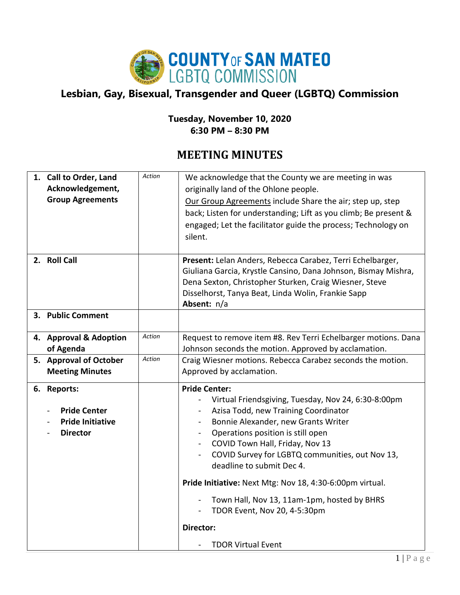

## **Lesbian, Gay, Bisexual, Transgender and Queer (LGBTQ) Commission**

## **Tuesday, November 10, 2020 6:30 PM – 8:30 PM**

## **MEETING MINUTES**

| 1. Call to Order, Land<br>Acknowledgement,<br><b>Group Agreements</b>            | Action        | We acknowledge that the County we are meeting in was<br>originally land of the Ohlone people.<br>Our Group Agreements include Share the air; step up, step<br>back; Listen for understanding; Lift as you climb; Be present &<br>engaged; Let the facilitator guide the process; Technology on<br>silent.                                                                                                                                                                                                                                                                          |
|----------------------------------------------------------------------------------|---------------|------------------------------------------------------------------------------------------------------------------------------------------------------------------------------------------------------------------------------------------------------------------------------------------------------------------------------------------------------------------------------------------------------------------------------------------------------------------------------------------------------------------------------------------------------------------------------------|
| 2. Roll Call                                                                     |               | Present: Lelan Anders, Rebecca Carabez, Terri Echelbarger,<br>Giuliana Garcia, Krystle Cansino, Dana Johnson, Bismay Mishra,<br>Dena Sexton, Christopher Sturken, Craig Wiesner, Steve<br>Disselhorst, Tanya Beat, Linda Wolin, Frankie Sapp<br>Absent: n/a                                                                                                                                                                                                                                                                                                                        |
| 3. Public Comment                                                                |               |                                                                                                                                                                                                                                                                                                                                                                                                                                                                                                                                                                                    |
| 4. Approval & Adoption<br>of Agenda                                              | <b>Action</b> | Request to remove item #8. Rev Terri Echelbarger motions. Dana<br>Johnson seconds the motion. Approved by acclamation.                                                                                                                                                                                                                                                                                                                                                                                                                                                             |
| 5. Approval of October<br><b>Meeting Minutes</b>                                 | Action        | Craig Wiesner motions. Rebecca Carabez seconds the motion.<br>Approved by acclamation.                                                                                                                                                                                                                                                                                                                                                                                                                                                                                             |
| 6. Reports:<br><b>Pride Center</b><br><b>Pride Initiative</b><br><b>Director</b> |               | <b>Pride Center:</b><br>Virtual Friendsgiving, Tuesday, Nov 24, 6:30-8:00pm<br>Azisa Todd, new Training Coordinator<br>$\qquad \qquad \blacksquare$<br>Bonnie Alexander, new Grants Writer<br>$\blacksquare$<br>Operations position is still open<br>COVID Town Hall, Friday, Nov 13<br>COVID Survey for LGBTQ communities, out Nov 13,<br>$\blacksquare$<br>deadline to submit Dec 4.<br>Pride Initiative: Next Mtg: Nov 18, 4:30-6:00pm virtual.<br>Town Hall, Nov 13, 11am-1pm, hosted by BHRS<br>TDOR Event, Nov 20, 4-5:30pm<br><b>Director:</b><br><b>TDOR Virtual Event</b> |
|                                                                                  |               |                                                                                                                                                                                                                                                                                                                                                                                                                                                                                                                                                                                    |